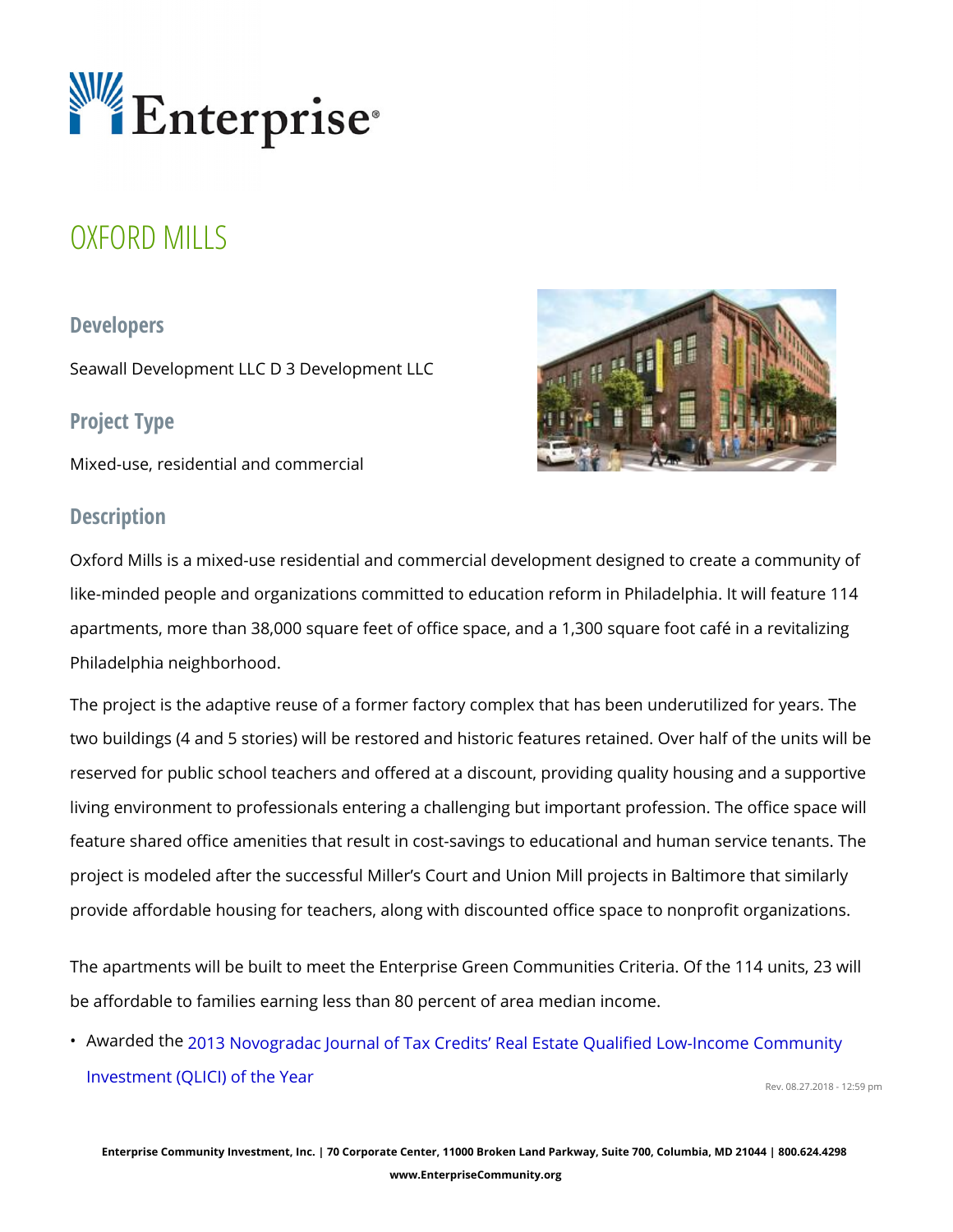# OXFORD MILLS

#### Developers

Seawall Development LLC D 3 Development LLC

## Project Type

Mixed-use, residential and commercial

## Description

Oxford Mills is a mixed-use residential and commercial development design like-minded people and organizations committed to education reform in Phil apartments, more than 38,000 square feet of office space, and a 1,300 square Philadelphia neighborhood.

The project is the adaptive reuse of a former factory complex that has been two buildings (4 and 5 stories) will be restored and historic features retain reserved for public school teachers and offered at a discount, providing qu living environment to professionals entering a challenging but important pro feature shared office amenities that result in cost-savings to educational a project is modeled after the successful Miller s Court and Union Mill projec provide affordable housing for teachers, along with discounted office space

The apartments will be built to meet the Enterprise Green Communities Crit be affordable to families earning less than 80 percent of area median incom

" Awarded 2003 Novogradac Journal of Tax Credits Real Estate Qualified Lo [Investment \(QLICI\)](http://www.novoco.com/new_markets/awards/2013/winners/real_estate.php#win) of the Year Rev. 08.27.2018 - 12:59 pm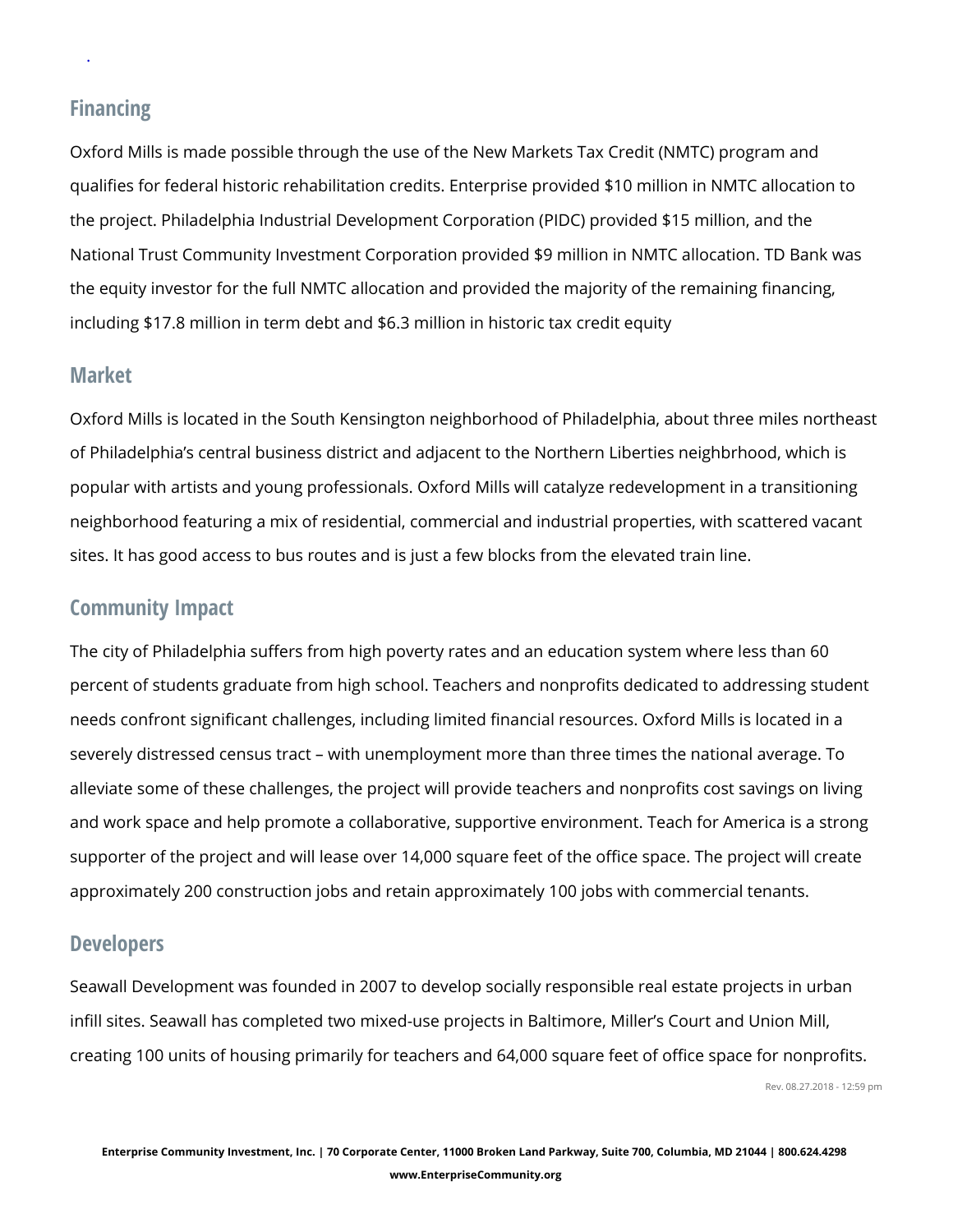## Financing

.

Oxford Mills is made possible through the use of the New Markets Tax Cred qualifies for federal historic rehabilitation credits. Enterprise provided \$10 the project. Philadelphia Industrial Development Corporation (PIDC) provident National Trust Community Investment Corporation provided \$9 million in NM the equity investor for the full NMTC allocation and provided the majority o including \$17.8 million in term debt and \$6.3 million in historic tax credit e

### Market

Oxford Mills is located in the South Kensington neighborhood of Philadelph of Philadelphia s central business district and adjacent to the Northern Lib popular with artists and young professionals. Oxford Mills will catalyze red neighborhood featuring a mix of residential, commercial and industrial prop sites. It has good access to bus routes and is just a few blocks from the el

## Community Impact

The city of Philadelphia suffers from high poverty rates and an education s percent of students graduate from high school. Teachers and nonprofits ded needs confront significant challenges, including limited financial resources severely distressed census tract with unemployment more than three times alleviate some of these challenges, the project will provide teachers and no and work space and help promote a collaborative, supportive environment. supporter of the project and will lease over  $14,000$  square feet of the office approximately 200 construction jobs and retain approximately 100 jobs with

### Developers

Seawall Development was founded in 2007 to develop socially responsible real estate proportional estate project infill sites. Seawall has completed two mixed-use projects in Baltimore, Mil creating 100 units of housing primarily for teachers and 64,000 square feet Rev. 08.27.2018 - 12:59 pm